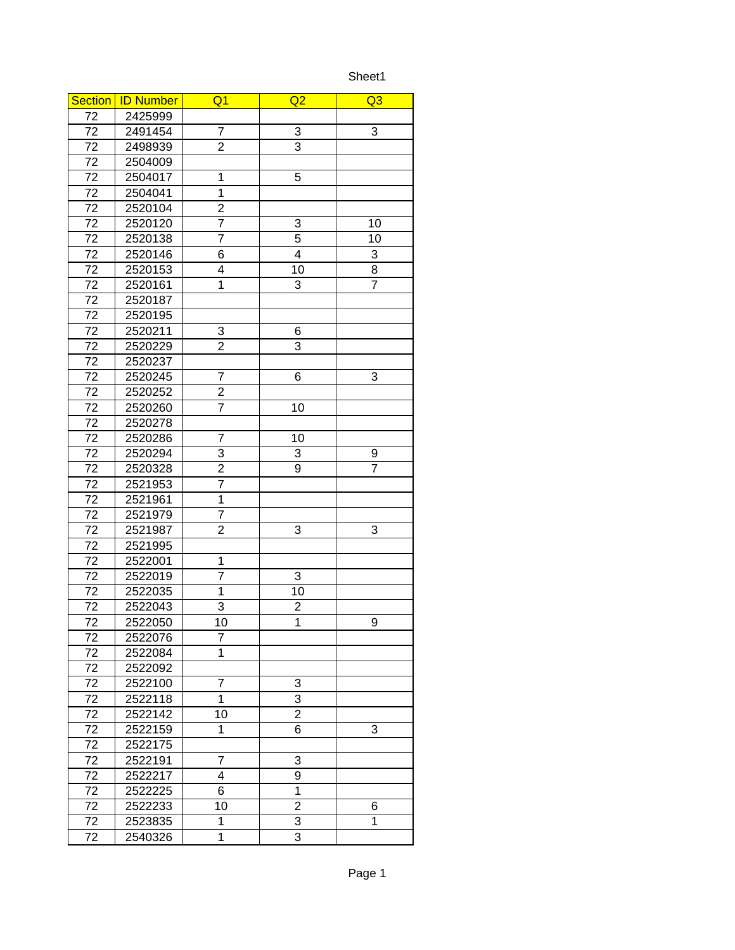Sheet1

| <b>Section</b>  | <b>ID Number</b> | Q1             | Q <sub>2</sub> | Q <sub>3</sub> |
|-----------------|------------------|----------------|----------------|----------------|
| 72              | 2425999          |                |                |                |
| 72              | 2491454          | $\overline{7}$ | 3              | 3              |
| 72              | 2498939          | 2              | 3              |                |
| 72              | 2504009          |                |                |                |
| 72              | 2504017          | $\mathbf{1}$   | 5              |                |
| 72              | 2504041          | $\overline{1}$ |                |                |
| 72              | 2520104          | $\overline{2}$ |                |                |
| 72              | 2520120          | $\overline{7}$ | 3              | 10             |
| 72              | 2520138          | $\overline{7}$ | 5              | 10             |
| 72              | 2520146          | 6              | 4              | 3              |
| 72              | 2520153          | 4              | 10             | 8              |
| 72              | 2520161          | $\overline{1}$ | 3              | $\overline{7}$ |
| 72              | 2520187          |                |                |                |
| 72              | 2520195          |                |                |                |
| 72              | 2520211          | 3              | 6              |                |
| 72              | 2520229          | $\overline{2}$ | 3              |                |
| 72              | 2520237          |                |                |                |
| 72              | 2520245          | $\overline{7}$ | 6              | 3              |
| 72              | 2520252          | $\overline{2}$ |                |                |
| 72              | 2520260          | $\overline{7}$ | 10             |                |
| 72              | 2520278          |                |                |                |
| 72              | 2520286          | 7              | 10             |                |
| 72              | 2520294          | 3              | 3              | 9              |
| 72              | 2520328          | $\overline{c}$ | 9              | $\overline{7}$ |
| 72              | 2521953          | $\overline{7}$ |                |                |
| 72              | 2521961          | $\overline{1}$ |                |                |
| $\overline{72}$ | 2521979          | $\overline{7}$ |                |                |
| 72              | 2521987          | $\overline{2}$ | 3              | 3              |
| 72              | 2521995          |                |                |                |
| $\overline{7}2$ | 2522001          | $\mathbf{1}$   |                |                |
| 72              | 2522019          | 7              | 3              |                |
| $\overline{72}$ | 2522035          | $\mathbf{1}$   | 10             |                |
| 72              | 2522043          | 3              | $\overline{c}$ |                |
| 72              | 2522050          | 10             | $\overline{1}$ | 9              |
| 72              | 2522076          | 7              |                |                |
| 72              | 2522084          | $\overline{1}$ |                |                |
| 72              | 2522092          |                |                |                |
| 72              | 2522100          | 7              | 3              |                |
| 72              | 2522118          | $\mathbf{1}$   | $\overline{3}$ |                |
| 72              | 2522142          | 10             | $\overline{2}$ |                |
| 72              | 2522159          | 1              | 6              | $\overline{3}$ |
| 72              | 2522175          |                |                |                |
| 72              | 2522191          | $\overline{7}$ | 3              |                |
| 72              | 2522217          | 4              | 9              |                |
| 72              | 2522225          | 6              | 1              |                |
| 72              | 2522233          | 10             | 2              | 6              |
| 72              | 2523835          | $\mathbf{1}$   | 3              | $\mathbf{1}$   |
| 72              | 2540326          | $\mathbf{1}$   | 3              |                |